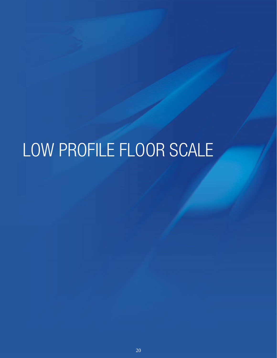# LOW PROFILE FLOOR SCALE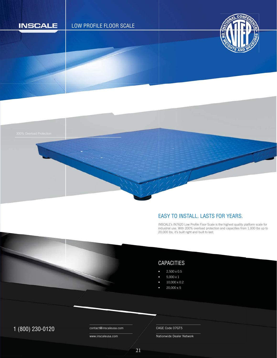

#### EASY TO INSTALL. LASTS FOR YEARS.

INSCALE's IN7620 Low Profile Floor Scale is the highest quality platform scale for industrial use. With 200% overload protection and capacities from 1,000 lbs up to 20,000 lbs, it's built right and built to last. I i 2

## CAPACITIES

- 2,500 x 0.5
- $5,000 \times 1$
- 10,000 x 0.2
- 20,000 x 5

## $1 (800) 230 - 0120$  Contact@inscaleusa.com CAGE Code 07GT5

contact@inscaleusa.com

www.inscaleusa.com

Nationwide Dealer Network

21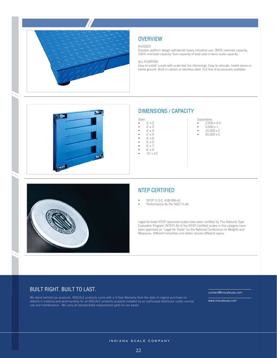

## **OVERVIEW**

#### RUGGED

Durable platform design withstands heavy industrial use. 300% overload capacity, 150% end-load capacity. Sum capacity of load cells is twice scale capacity.

#### ALL PURPOSE

Easy to install. Levels with scale feet (no shimming). Easy to relocate. Install above or below ground. Built in carbon or stainless steel. Full line of accessories available.



#### DIMENSIONS / CAPACITY

- Sizes  $2' \times 2'$
- $\bullet$   $3' \times 3'$
- $4' \times 4'$ <br>•  $4' \times 5'$
- $4' \times 5'$ <br>•  $4' \times 6'$
- $4' \times 6'$ <br>•  $5' \times 5'$
- $5' \times 5'$ <br>•  $5' \times 7'$ • 5' x 7'
- $6' \times 6'$ <br>•  $10' \times 1$
- 10' x 10'
- Capacityies •  $2,500 \times 0.5$
- $5,000 \times 1$
- $\bullet$  10,000 x 2
- $20,000 \times 5$



#### NTEP CERTIFIED

- NTEP C.O.C. #18-066-A1
- Performance As Per NIST H-44

Legal-for-trade NTEP approved scales have been certified by The National Type Evaluation Progrem (NTEP) All of the NTEP Certified scales in this category have been approved as "Legal for Trade" by the National Conference on Weights and Measures. Different industries and states require different specs.

#### BUILT RIGHT. BUILT TO LAST.

We stand behind our products. INSCALE products come with a 3-Year Warranty from the date of original purchase on defects in material and workmanship for all INSCALE products properly installed by an authorized distributor under normal use and maintenance. We carry all standardized replacement parts for our bases.

contact@inscaleusa.com

www.inscaleusa.com

INDIANA SCALE COMPANY